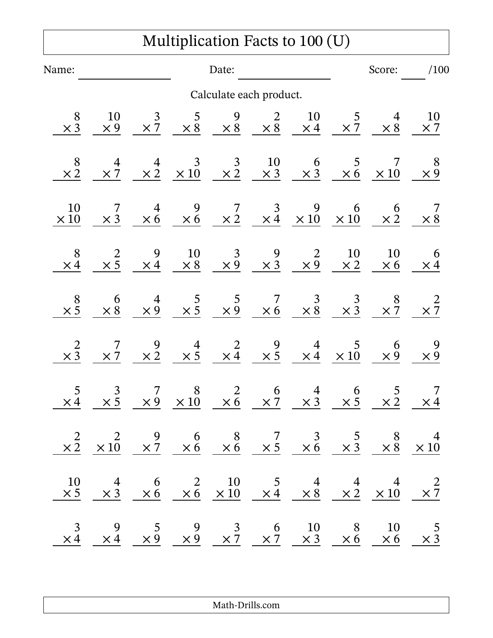## Multiplication Facts to 100 (U)

| Name:                                        |                                                                                                                                                                                                                                         |  |                                                               | Date:                                                                                                                                                                                           |  |                                                                                           |  |                                                              | Score: /100                                  |  |
|----------------------------------------------|-----------------------------------------------------------------------------------------------------------------------------------------------------------------------------------------------------------------------------------------|--|---------------------------------------------------------------|-------------------------------------------------------------------------------------------------------------------------------------------------------------------------------------------------|--|-------------------------------------------------------------------------------------------|--|--------------------------------------------------------------|----------------------------------------------|--|
| Calculate each product.                      |                                                                                                                                                                                                                                         |  |                                                               |                                                                                                                                                                                                 |  |                                                                                           |  |                                                              |                                              |  |
| 8<br>$\times \overline{3}$                   |                                                                                                                                                                                                                                         |  |                                                               | $\begin{array}{ccccccccc} 10 & & 3 & & 5 & & 9 & & 2 & & 10 & & 5 & & 4 \\ \times 9 & & \times 7 & & \times 8 & & \times 8 & & \times 8 & & \times 4 & & \times 7 & & \times 8 & \end{array}$   |  |                                                                                           |  |                                                              | $\frac{10}{\times 7}$                        |  |
| $\begin{array}{c} 8 \\ \times 2 \end{array}$ |                                                                                                                                                                                                                                         |  |                                                               | $\frac{4}{\times 7}$ $\frac{4}{\times 2}$ $\frac{3}{\times 10}$ $\frac{3}{\times 2}$ $\frac{10}{\times 3}$ $\frac{6}{\times 3}$ $\frac{5}{\times 6}$ $\frac{7}{\times 10}$                      |  |                                                                                           |  |                                                              | $\frac{8}{\times 9}$                         |  |
| <b>10</b><br>$\times 10$                     |                                                                                                                                                                                                                                         |  |                                                               | $\begin{array}{ccccccccc} & 7 & & 4 & & 9 & & 7 & & 3 & & 9 & & 6 \ \times 3 & \times 6 & \times 6 & & \times 2 & \times 4 & \times 10 & & \times 10 & \ \end{array}$                           |  |                                                                                           |  | $\frac{6}{\times 2}$                                         | $\times \frac{7}{8}$                         |  |
| $\times$ 4                                   |                                                                                                                                                                                                                                         |  |                                                               | $\begin{array}{ccccccccc}\n & 2 & 9 & 10 & 3 & 9 & 2 & 10 & 10 & 6 \\ \times 5 & \times 4 & \times 8 & \times 9 & \times 3 & \times 9 & \times 2 & \times 2 & \times 6 & \times 4\n\end{array}$ |  |                                                                                           |  |                                                              |                                              |  |
| $\times \frac{8}{5}$                         |                                                                                                                                                                                                                                         |  |                                                               | $\begin{array}{ccccccccc} & 6 & & 4 & & 5 & & 5 & & 7 & & 3 & & 3 & & 8 \\ \times 8 & & \times 9 & & \times 5 & & \times 9 & & \times 6 & & \times 8 & & \times 3 & & \times 7 & \ \end{array}$ |  |                                                                                           |  |                                                              | $\times \frac{2}{7}$                         |  |
| $\times\frac{2}{3}$                          |                                                                                                                                                                                                                                         |  |                                                               | $\begin{array}{ccccccccc}\n7 & 9 & 4 & 2 & 9 & 4 & 5 & 6 \\ \times & 7 & \times & 2 & \times & 5 & \times & 4 & \times & 5 & \times & 4 & \times & 10 & \times & 9\n\end{array}$                |  |                                                                                           |  |                                                              | $\begin{array}{c} 9 \\ \times 9 \end{array}$ |  |
| 5<br>$\times 4$                              | $\frac{3}{2}$                                                                                                                                                                                                                           |  | $\begin{array}{cc} 7 & 8 \\ \times 9 & \times 10 \end{array}$ |                                                                                                                                                                                                 |  | $\begin{array}{ccccc} & 2 & 6 & 4 \\ \times & 6 & \times & 7 & \times & 3 \\ \end{array}$ |  | $\begin{array}{cc} 6 & 5 \\ \times 5 & \times 2 \end{array}$ | $\frac{7}{\times 4}$                         |  |
|                                              | $\begin{array}{ccccccccc}\n & 2 & 2 & 9 & 6 & 8 & 7 & 3 & 5 & 8 & 4 \\ \times & 2 & \times & 10 & \times & 7 & \times & 6 & \times & 6 & \times & 5 & \times & 6 & \times & 3 & \times & 8 & \times & 10\n\end{array}$                  |  |                                                               |                                                                                                                                                                                                 |  |                                                                                           |  |                                                              |                                              |  |
|                                              | $\begin{array}{ccccccccc}\n10 & 4 & 6 & 2 & 10 & 5 & 4 & 4 & 4 & 2 \\ \times 5 & \times 3 & \times 6 & \times 6 & \times 10 & \times 4 & \times 8 & \times 2 & \times 10 & \times 7\n\end{array}$                                       |  |                                                               |                                                                                                                                                                                                 |  |                                                                                           |  |                                                              |                                              |  |
|                                              | $\begin{array}{ccccccccc}\n & 3 & & 9 & & 5 & & 9 & & 3 & & 6 & & 10 & & 8 & & 10 & & 5 \\  \times 4 & & \times 4 & & \times 9 & & \times 9 & & \times 7 & & \times 7 & & \times 3 & & \times 6 & & \times 6 & & \times 3\n\end{array}$ |  |                                                               |                                                                                                                                                                                                 |  |                                                                                           |  |                                                              |                                              |  |

Math-Drills.com